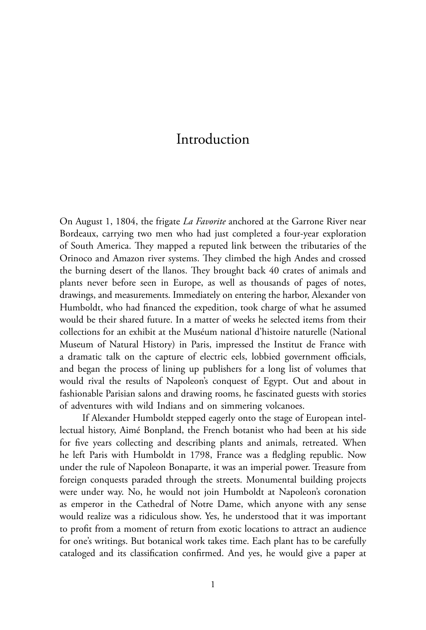## Introduction

On August 1, 1804, the frigate *La Favorite* anchored at the Garrone River near Bordeaux, carrying two men who had just completed a four-year exploration of South America. They mapped a reputed link between the tributaries of the Orinoco and Amazon river systems. They climbed the high Andes and crossed the burning desert of the llanos. They brought back 40 crates of animals and plants never before seen in Europe, as well as thousands of pages of notes, drawings, and measurements. Immediately on entering the harbor, Alexander von Humboldt, who had financed the expedition, took charge of what he assumed would be their shared future. In a matter of weeks he selected items from their collections for an exhibit at the Muséum national d'histoire naturelle (National Museum of Natural History) in Paris, impressed the Institut de France with a dramatic talk on the capture of electric eels, lobbied government officials, and began the process of lining up publishers for a long list of volumes that would rival the results of Napoleon's conquest of Egypt. Out and about in fashionable Parisian salons and drawing rooms, he fascinated guests with stories of adventures with wild Indians and on simmering volcanoes.

If Alexander Humboldt stepped eagerly onto the stage of European intellectual history, Aimé Bonpland, the French botanist who had been at his side for five years collecting and describing plants and animals, retreated. When he left Paris with Humboldt in 1798, France was a fledgling republic. Now under the rule of Napoleon Bonaparte, it was an imperial power. Treasure from foreign conquests paraded through the streets. Monumental building projects were under way. No, he would not join Humboldt at Napoleon's coronation as emperor in the Cathedral of Notre Dame, which anyone with any sense would realize was a ridiculous show. Yes, he understood that it was important to profit from a moment of return from exotic locations to attract an audience for one's writings. But botanical work takes time. Each plant has to be carefully cataloged and its classification confirmed. And yes, he would give a paper at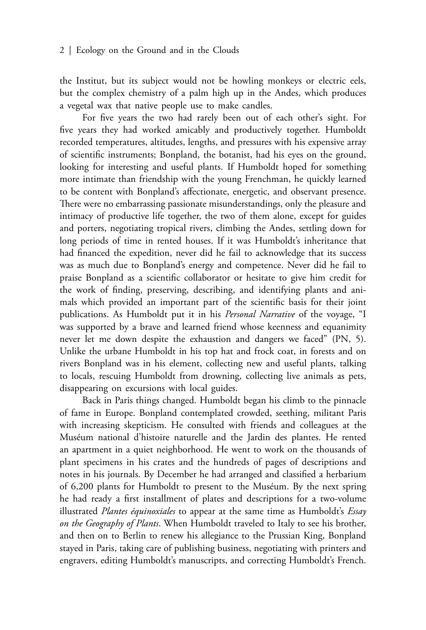the Institut, but its subject would not be howling monkeys or electric eels, but the complex chemistry of a palm high up in the Andes, which produces a vegetal wax that native people use to make candles.

For five years the two had rarely been out of each other's sight. For five years they had worked amicably and productively together. Humboldt recorded temperatures, altitudes, lengths, and pressures with his expensive array of scientific instruments; Bonpland, the botanist, had his eyes on the ground, looking for interesting and useful plants. If Humboldt hoped for something more intimate than friendship with the young Frenchman, he quickly learned to be content with Bonpland's affectionate, energetic, and observant presence. There were no embarrassing passionate misunderstandings, only the pleasure and intimacy of productive life together, the two of them alone, except for guides and porters, negotiating tropical rivers, climbing the Andes, settling down for long periods of time in rented houses. If it was Humboldt's inheritance that had financed the expedition, never did he fail to acknowledge that its success was as much due to Bonpland's energy and competence. Never did he fail to praise Bonpland as a scientific collaborator or hesitate to give him credit for the work of finding, preserving, describing, and identifying plants and animals which provided an important part of the scientific basis for their joint publications. As Humboldt put it in his *Personal Narrative* of the voyage, "I was supported by a brave and learned friend whose keenness and equanimity never let me down despite the exhaustion and dangers we faced" (PN, 5). Unlike the urbane Humboldt in his top hat and frock coat, in forests and on rivers Bonpland was in his element, collecting new and useful plants, talking to locals, rescuing Humboldt from drowning, collecting live animals as pets, disappearing on excursions with local guides.

Back in Paris things changed. Humboldt began his climb to the pinnacle of fame in Europe. Bonpland contemplated crowded, seething, militant Paris with increasing skepticism. He consulted with friends and colleagues at the Muséum national d'histoire naturelle and the Jardin des plantes. He rented an apartment in a quiet neighborhood. He went to work on the thousands of plant specimens in his crates and the hundreds of pages of descriptions and notes in his journals. By December he had arranged and classified a herbarium of 6,200 plants for Humboldt to present to the Muséum. By the next spring he had ready a first installment of plates and descriptions for a two-volume illustrated *Plantes équinoxiales* to appear at the same time as Humboldt's *Essay on the Geography of Plants*. When Humboldt traveled to Italy to see his brother, and then on to Berlin to renew his allegiance to the Prussian King, Bonpland stayed in Paris, taking care of publishing business, negotiating with printers and engravers, editing Humboldt's manuscripts, and correcting Humboldt's French.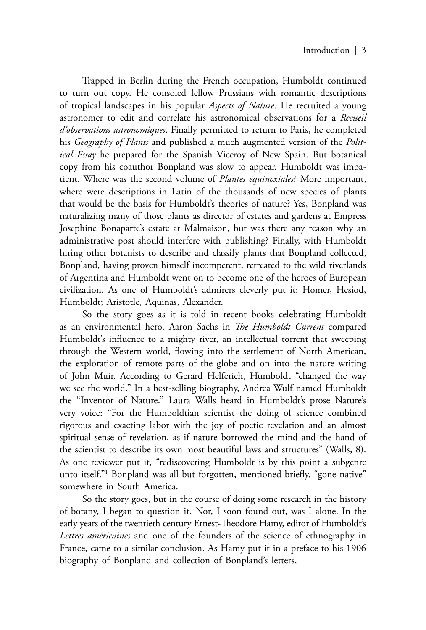Trapped in Berlin during the French occupation, Humboldt continued to turn out copy. He consoled fellow Prussians with romantic descriptions of tropical landscapes in his popular *Aspects of Nature*. He recruited a young astronomer to edit and correlate his astronomical observations for a *Recueil d'observations astronomiques*. Finally permitted to return to Paris, he completed his *Geography of Plants* and published a much augmented version of the *Political Essay* he prepared for the Spanish Viceroy of New Spain. But botanical copy from his coauthor Bonpland was slow to appear. Humboldt was impatient. Where was the second volume of *Plantes équinoxiales*? More important, where were descriptions in Latin of the thousands of new species of plants that would be the basis for Humboldt's theories of nature? Yes, Bonpland was naturalizing many of those plants as director of estates and gardens at Empress Josephine Bonaparte's estate at Malmaison, but was there any reason why an administrative post should interfere with publishing? Finally, with Humboldt hiring other botanists to describe and classify plants that Bonpland collected, Bonpland, having proven himself incompetent, retreated to the wild riverlands of Argentina and Humboldt went on to become one of the heroes of European civilization. As one of Humboldt's admirers cleverly put it: Homer, Hesiod, Humboldt; Aristotle, Aquinas, Alexander.

So the story goes as it is told in recent books celebrating Humboldt as an environmental hero. Aaron Sachs in *The Humboldt Current* compared Humboldt's influence to a mighty river, an intellectual torrent that sweeping through the Western world, flowing into the settlement of North American, the exploration of remote parts of the globe and on into the nature writing of John Muir. According to Gerard Helferich, Humboldt "changed the way we see the world." In a best-selling biography, Andrea Wulf named Humboldt the "Inventor of Nature." Laura Walls heard in Humboldt's prose Nature's very voice: "For the Humboldtian scientist the doing of science combined rigorous and exacting labor with the joy of poetic revelation and an almost spiritual sense of revelation, as if nature borrowed the mind and the hand of the scientist to describe its own most beautiful laws and structures" (Walls, 8). As one reviewer put it, "rediscovering Humboldt is by this point a subgenre unto itself."1 Bonpland was all but forgotten, mentioned briefly, "gone native" somewhere in South America.

So the story goes, but in the course of doing some research in the history of botany, I began to question it. Nor, I soon found out, was I alone. In the early years of the twentieth century Ernest-Theodore Hamy, editor of Humboldt's *Lettres américaines* and one of the founders of the science of ethnography in France, came to a similar conclusion. As Hamy put it in a preface to his 1906 biography of Bonpland and collection of Bonpland's letters,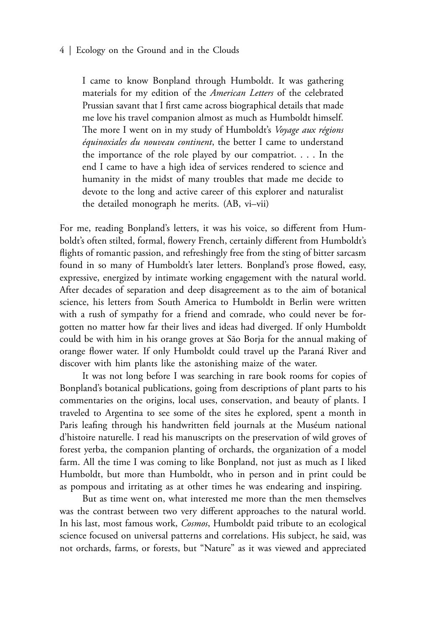## 4 | Ecology on the Ground and in the Clouds

I came to know Bonpland through Humboldt. It was gathering materials for my edition of the *American Letters* of the celebrated Prussian savant that I first came across biographical details that made me love his travel companion almost as much as Humboldt himself. The more I went on in my study of Humboldt's *Voyage aux régions équinoxiales du nouveau continent*, the better I came to understand the importance of the role played by our compatriot. . . . In the end I came to have a high idea of services rendered to science and humanity in the midst of many troubles that made me decide to devote to the long and active career of this explorer and naturalist the detailed monograph he merits. (AB, vi–vii)

For me, reading Bonpland's letters, it was his voice, so different from Humboldt's often stilted, formal, flowery French, certainly different from Humboldt's flights of romantic passion, and refreshingly free from the sting of bitter sarcasm found in so many of Humboldt's later letters. Bonpland's prose flowed, easy, expressive, energized by intimate working engagement with the natural world. After decades of separation and deep disagreement as to the aim of botanical science, his letters from South America to Humboldt in Berlin were written with a rush of sympathy for a friend and comrade, who could never be forgotten no matter how far their lives and ideas had diverged. If only Humboldt could be with him in his orange groves at São Borja for the annual making of orange flower water. If only Humboldt could travel up the Paraná River and discover with him plants like the astonishing maize of the water.

It was not long before I was searching in rare book rooms for copies of Bonpland's botanical publications, going from descriptions of plant parts to his commentaries on the origins, local uses, conservation, and beauty of plants. I traveled to Argentina to see some of the sites he explored, spent a month in Paris leafing through his handwritten field journals at the Muséum national d'histoire naturelle. I read his manuscripts on the preservation of wild groves of forest yerba, the companion planting of orchards, the organization of a model farm. All the time I was coming to like Bonpland, not just as much as I liked Humboldt, but more than Humboldt, who in person and in print could be as pompous and irritating as at other times he was endearing and inspiring.

But as time went on, what interested me more than the men themselves was the contrast between two very different approaches to the natural world. In his last, most famous work, *Cosmos*, Humboldt paid tribute to an ecological science focused on universal patterns and correlations. His subject, he said, was not orchards, farms, or forests, but "Nature" as it was viewed and appreciated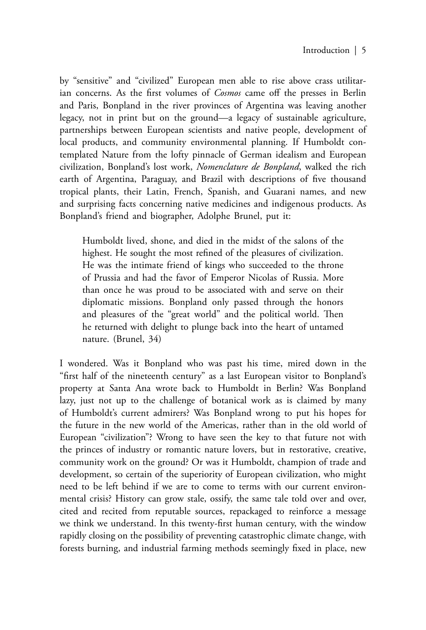by "sensitive" and "civilized" European men able to rise above crass utilitarian concerns. As the first volumes of *Cosmos* came off the presses in Berlin and Paris, Bonpland in the river provinces of Argentina was leaving another legacy, not in print but on the ground—a legacy of sustainable agriculture, partnerships between European scientists and native people, development of local products, and community environmental planning. If Humboldt contemplated Nature from the lofty pinnacle of German idealism and European civilization, Bonpland's lost work, *Nomenclature de Bonpland*, walked the rich earth of Argentina, Paraguay, and Brazil with descriptions of five thousand tropical plants, their Latin, French, Spanish, and Guarani names, and new and surprising facts concerning native medicines and indigenous products. As Bonpland's friend and biographer, Adolphe Brunel, put it:

Humboldt lived, shone, and died in the midst of the salons of the highest. He sought the most refined of the pleasures of civilization. He was the intimate friend of kings who succeeded to the throne of Prussia and had the favor of Emperor Nicolas of Russia. More than once he was proud to be associated with and serve on their diplomatic missions. Bonpland only passed through the honors and pleasures of the "great world" and the political world. Then he returned with delight to plunge back into the heart of untamed nature. (Brunel, 34)

I wondered. Was it Bonpland who was past his time, mired down in the "first half of the nineteenth century" as a last European visitor to Bonpland's property at Santa Ana wrote back to Humboldt in Berlin? Was Bonpland lazy, just not up to the challenge of botanical work as is claimed by many of Humboldt's current admirers? Was Bonpland wrong to put his hopes for the future in the new world of the Americas, rather than in the old world of European "civilization"? Wrong to have seen the key to that future not with the princes of industry or romantic nature lovers, but in restorative, creative, community work on the ground? Or was it Humboldt, champion of trade and development, so certain of the superiority of European civilization, who might need to be left behind if we are to come to terms with our current environmental crisis? History can grow stale, ossify, the same tale told over and over, cited and recited from reputable sources, repackaged to reinforce a message we think we understand. In this twenty-first human century, with the window rapidly closing on the possibility of preventing catastrophic climate change, with forests burning, and industrial farming methods seemingly fixed in place, new